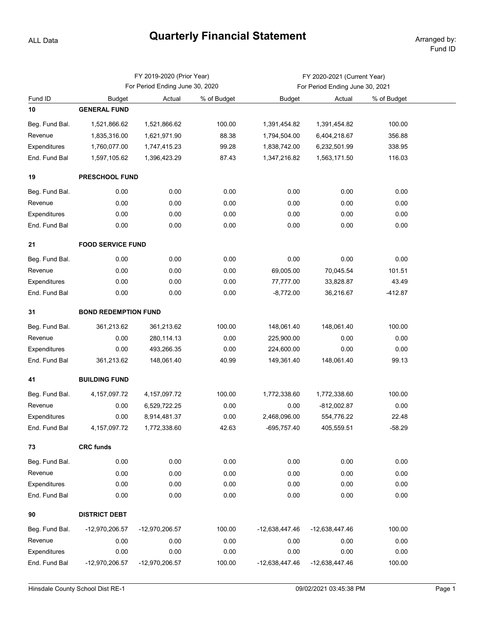## **Quarterly Financial Statement** Arranged by:

ALL Data

|                |                             | FY 2019-2020 (Prior Year)       |             | FY 2020-2021 (Current Year)     |                |             |  |  |  |  |
|----------------|-----------------------------|---------------------------------|-------------|---------------------------------|----------------|-------------|--|--|--|--|
|                |                             | For Period Ending June 30, 2020 |             | For Period Ending June 30, 2021 |                |             |  |  |  |  |
| Fund ID        | <b>Budget</b>               | Actual                          | % of Budget | <b>Budget</b>                   | Actual         | % of Budget |  |  |  |  |
| 10             | <b>GENERAL FUND</b>         |                                 |             |                                 |                |             |  |  |  |  |
| Beg. Fund Bal. | 1,521,866.62                | 1,521,866.62                    | 100.00      | 1,391,454.82                    | 1,391,454.82   | 100.00      |  |  |  |  |
| Revenue        | 1,835,316.00                | 1,621,971.90                    | 88.38       | 1,794,504.00                    | 6,404,218.67   | 356.88      |  |  |  |  |
| Expenditures   | 1,760,077.00                | 1,747,415.23                    | 99.28       | 1,838,742.00                    | 6,232,501.99   | 338.95      |  |  |  |  |
| End. Fund Bal  | 1,597,105.62                | 1,396,423.29                    | 87.43       | 1,347,216.82                    | 1,563,171.50   | 116.03      |  |  |  |  |
| 19             | PRESCHOOL FUND              |                                 |             |                                 |                |             |  |  |  |  |
| Beg. Fund Bal. | 0.00                        | 0.00                            | 0.00        | 0.00                            | 0.00           | 0.00        |  |  |  |  |
| Revenue        | 0.00                        | 0.00                            | 0.00        | 0.00                            | 0.00           | 0.00        |  |  |  |  |
| Expenditures   | 0.00                        | 0.00                            | 0.00        | 0.00                            | 0.00           | 0.00        |  |  |  |  |
| End. Fund Bal  | 0.00                        | 0.00                            | 0.00        | 0.00                            | 0.00           | 0.00        |  |  |  |  |
| 21             | <b>FOOD SERVICE FUND</b>    |                                 |             |                                 |                |             |  |  |  |  |
| Beg. Fund Bal. | 0.00                        | 0.00                            | 0.00        | 0.00                            | 0.00           | 0.00        |  |  |  |  |
| Revenue        | 0.00                        | 0.00                            | 0.00        | 69,005.00                       | 70,045.54      | 101.51      |  |  |  |  |
| Expenditures   | 0.00                        | 0.00                            | 0.00        | 77,777.00                       | 33,828.87      | 43.49       |  |  |  |  |
| End. Fund Bal  | 0.00                        | 0.00                            | 0.00        | $-8,772.00$                     | 36,216.67      | $-412.87$   |  |  |  |  |
| 31             | <b>BOND REDEMPTION FUND</b> |                                 |             |                                 |                |             |  |  |  |  |
| Beg. Fund Bal. | 361,213.62                  | 361,213.62                      | 100.00      | 148,061.40                      | 148,061.40     | 100.00      |  |  |  |  |
| Revenue        | 0.00                        | 280,114.13                      | 0.00        | 225,900.00                      | 0.00           | 0.00        |  |  |  |  |
| Expenditures   | 0.00                        | 493,266.35                      | 0.00        | 224,600.00                      | 0.00           | 0.00        |  |  |  |  |
| End. Fund Bal  | 361,213.62                  | 148,061.40                      | 40.99       | 149,361.40                      | 148,061.40     | 99.13       |  |  |  |  |
| 41             | <b>BUILDING FUND</b>        |                                 |             |                                 |                |             |  |  |  |  |
| Beg. Fund Bal. | 4, 157, 097. 72             | 4, 157, 097. 72                 | 100.00      | 1,772,338.60                    | 1,772,338.60   | 100.00      |  |  |  |  |
| Revenue        | 0.00                        | 6,529,722.25                    | 0.00        | 0.00                            | $-812,002.87$  | 0.00        |  |  |  |  |
| Expenditures   | 0.00                        | 8,914,481.37                    | 0.00        | 2,468,096.00                    | 554,776.22     | 22.48       |  |  |  |  |
| End. Fund Bal  | 4, 157, 097. 72             | 1,772,338.60                    | 42.63       | -695,757.40                     | 405,559.51     | $-58.29$    |  |  |  |  |
| 73             | <b>CRC funds</b>            |                                 |             |                                 |                |             |  |  |  |  |
| Beg. Fund Bal. | 0.00                        | 0.00                            | 0.00        | 0.00                            | 0.00           | 0.00        |  |  |  |  |
| Revenue        | 0.00                        | 0.00                            | 0.00        | 0.00                            | 0.00           | 0.00        |  |  |  |  |
| Expenditures   | 0.00                        | 0.00                            | 0.00        | 0.00                            | 0.00           | 0.00        |  |  |  |  |
| End. Fund Bal  | 0.00                        | 0.00                            | 0.00        | 0.00                            | 0.00           | 0.00        |  |  |  |  |
| 90             | <b>DISTRICT DEBT</b>        |                                 |             |                                 |                |             |  |  |  |  |
| Beg. Fund Bal. | -12,970,206.57              | -12,970,206.57                  | 100.00      | -12,638,447.46                  | -12,638,447.46 | 100.00      |  |  |  |  |
| Revenue        | 0.00                        | 0.00                            | 0.00        | 0.00                            | 0.00           | 0.00        |  |  |  |  |
| Expenditures   | 0.00                        | 0.00                            | 0.00        | 0.00                            | 0.00           | 0.00        |  |  |  |  |
| End. Fund Bal  | -12,970,206.57              | -12,970,206.57                  | 100.00      | -12,638,447.46                  | -12,638,447.46 | 100.00      |  |  |  |  |
|                |                             |                                 |             |                                 |                |             |  |  |  |  |